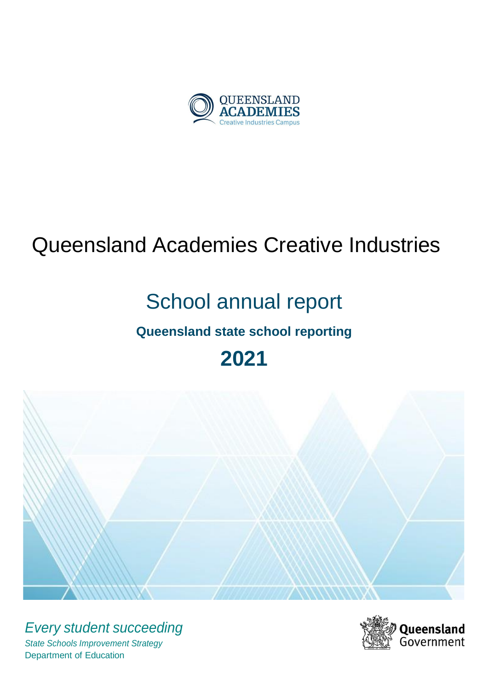

# Queensland Academies Creative Industries

# School annual report

# **Queensland state school reporting**

# **2021**



*Every student succeeding State Schools Improvement Strategy* Department of Education

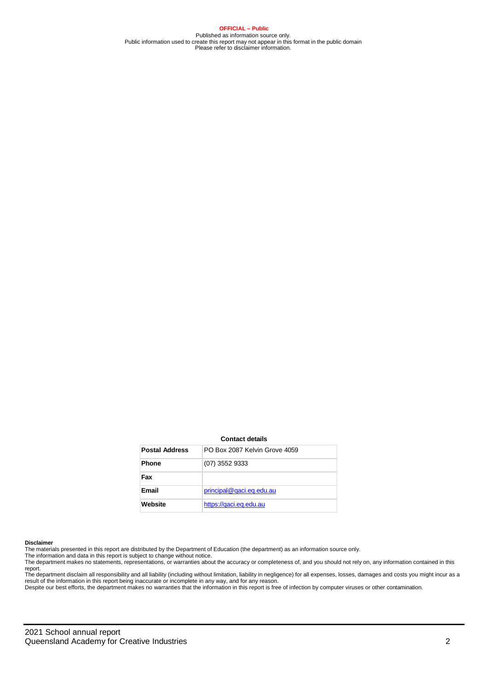#### **OFFICIAL – Public**

Published as information source only. Public information used to create this report may not appear in this format in the public domain Please refer to disclaimer information.

|                       | <b>Contact details</b>        |
|-----------------------|-------------------------------|
| <b>Postal Address</b> | PO Box 2087 Kelvin Grove 4059 |
| <b>Phone</b>          | $(07)$ 3552 9333              |
| Fax                   |                               |
| Email                 | principal@gaci.eq.edu.au      |
| Website               | https://gaci.eg.edu.au        |

#### **Disclaimer**

The materials presented in this report are distributed by the Department of Education (the department) as an information source only.

The information and data in this report is subject to change without notice.<br>The department makes no statements, representations, or warranties about the accuracy or completeness of, and you should not rely on, any informa report.

The department disclaim all responsibility and all liability (including without limitation, liability in negligence) for all expenses, losses, damages and costs you might incur as a result of the information in this report being inaccurate or incomplete in any way, and for any reason.<br>Despite our best efforts, the department makes no warranties that the information in this report is free of infection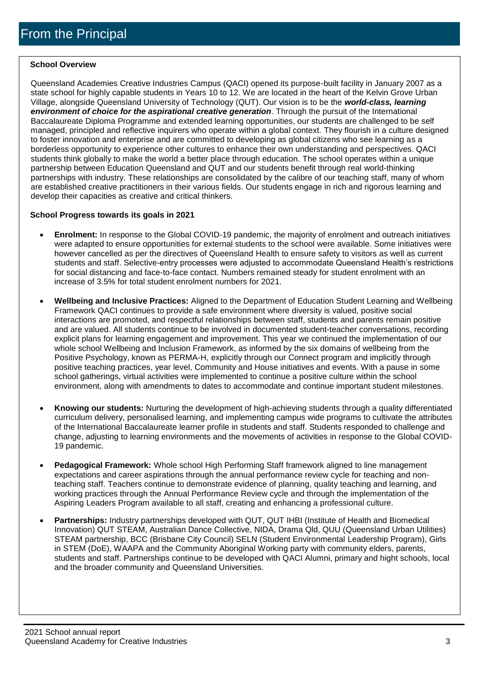#### **School Overview**

Queensland Academies Creative Industries Campus (QACI) opened its purpose-built facility in January 2007 as a state school for highly capable students in Years 10 to 12. We are located in the heart of the Kelvin Grove Urban Village, alongside Queensland University of Technology (QUT). Our vision is to be the *world-class, learning environment of choice for the aspirational creative generation*. Through the pursuit of the International Baccalaureate Diploma Programme and extended learning opportunities, our students are challenged to be self managed, principled and reflective inquirers who operate within a global context. They flourish in a culture designed to foster innovation and enterprise and are committed to developing as global citizens who see learning as a borderless opportunity to experience other cultures to enhance their own understanding and perspectives. QACI students think globally to make the world a better place through education. The school operates within a unique partnership between Education Queensland and QUT and our students benefit through real world-thinking partnerships with industry. These relationships are consolidated by the calibre of our teaching staff, many of whom are established creative practitioners in their various fields. Our students engage in rich and rigorous learning and develop their capacities as creative and critical thinkers.

#### **School Progress towards its goals in 2021**

- **Enrolment:** In response to the Global COVID-19 pandemic, the majority of enrolment and outreach initiatives were adapted to ensure opportunities for external students to the school were available. Some initiatives were however cancelled as per the directives of Queensland Health to ensure safety to visitors as well as current students and staff. Selective-entry processes were adjusted to accommodate Queensland Health's restrictions for social distancing and face-to-face contact. Numbers remained steady for student enrolment with an increase of 3.5% for total student enrolment numbers for 2021.
- **Wellbeing and Inclusive Practices:** Aligned to the Department of Education Student Learning and Wellbeing Framework QACI continues to provide a safe environment where diversity is valued, positive social interactions are promoted, and respectful relationships between staff, students and parents remain positive and are valued. All students continue to be involved in documented student-teacher conversations, recording explicit plans for learning engagement and improvement. This year we continued the implementation of our whole school Wellbeing and Inclusion Framework, as informed by the six domains of wellbeing from the Positive Psychology, known as PERMA-H, explicitly through our Connect program and implicitly through positive teaching practices, year level, Community and House initiatives and events. With a pause in some school gatherings, virtual activities were implemented to continue a positive culture within the school environment, along with amendments to dates to accommodate and continue important student milestones.
- **Knowing our students:** Nurturing the development of high-achieving students through a quality differentiated curriculum delivery, personalised learning, and implementing campus wide programs to cultivate the attributes of the International Baccalaureate learner profile in students and staff. Students responded to challenge and change, adjusting to learning environments and the movements of activities in response to the Global COVID-19 pandemic.
- **Pedagogical Framework:** Whole school High Performing Staff framework aligned to line management expectations and career aspirations through the annual performance review cycle for teaching and nonteaching staff. Teachers continue to demonstrate evidence of planning, quality teaching and learning, and working practices through the Annual Performance Review cycle and through the implementation of the Aspiring Leaders Program available to all staff, creating and enhancing a professional culture.
- **Partnerships:** Industry partnerships developed with QUT, QUT IHBI (Institute of Health and Biomedical Innovation) QUT STEAM, Australian Dance Collective, NIDA, Drama Qld, QUU (Queensland Urban Utilities) STEAM partnership, BCC (Brisbane City Council) SELN (Student Environmental Leadership Program), Girls in STEM (DoE), WAAPA and the Community Aboriginal Working party with community elders, parents, students and staff. Partnerships continue to be developed with QACI Alumni, primary and hight schools, local and the broader community and Queensland Universities.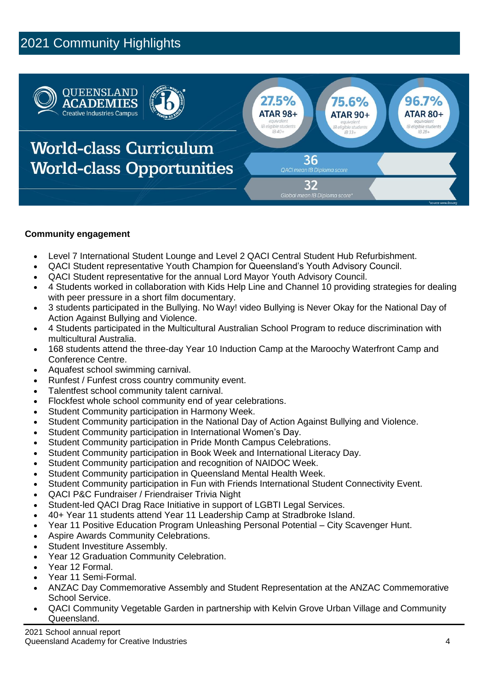# 2021 Community Highlights



#### **Community engagement**

- Level 7 International Student Lounge and Level 2 QACI Central Student Hub Refurbishment.
- QACI Student representative Youth Champion for Queensland's Youth Advisory Council.
- QACI Student representative for the annual Lord Mayor Youth Advisory Council.
- 4 Students worked in collaboration with Kids Help Line and Channel 10 providing strategies for dealing with peer pressure in a short film documentary.
- 3 students participated in the Bullying. No Way! video Bullying is Never Okay for the National Day of Action Against Bullying and Violence.
- 4 Students participated in the Multicultural Australian School Program to reduce discrimination with multicultural Australia.
- 168 students attend the three-day Year 10 Induction Camp at the Maroochy Waterfront Camp and Conference Centre.
- Aquafest school swimming carnival.
- Runfest / Funfest cross country community event.
- Talentfest school community talent carnival.
- Flockfest whole school community end of year celebrations.
- Student Community participation in Harmony Week.
- Student Community participation in the National Day of Action Against Bullying and Violence.
- Student Community participation in International Women's Day.
- Student Community participation in Pride Month Campus Celebrations.
- Student Community participation in Book Week and International Literacy Day.
- Student Community participation and recognition of NAIDOC Week.
- Student Community participation in Queensland Mental Health Week.
- Student Community participation in Fun with Friends International Student Connectivity Event.
- QACI P&C Fundraiser / Friendraiser Trivia Night
- Student-led QACI Drag Race Initiative in support of LGBTI Legal Services.
- 40+ Year 11 students attend Year 11 Leadership Camp at Stradbroke Island.
- Year 11 Positive Education Program Unleashing Personal Potential City Scavenger Hunt.
- Aspire Awards Community Celebrations.
- Student Investiture Assembly.
- Year 12 Graduation Community Celebration.
- Year 12 Formal.
- Year 11 Semi-Formal.
- ANZAC Day Commemorative Assembly and Student Representation at the ANZAC Commemorative School Service.
- QACI Community Vegetable Garden in partnership with Kelvin Grove Urban Village and Community Queensland.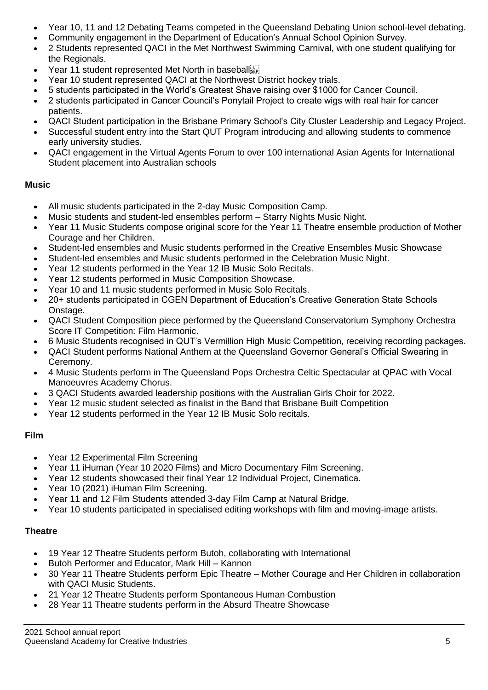- Year 10, 11 and 12 Debating Teams competed in the Queensland Debating Union school-level debating.
- Community engagement in the Department of Education's Annual School Opinion Survey.
- 2 Students represented QACI in the Met Northwest Swimming Carnival, with one student qualifying for the Regionals.
- Year 11 student represented Met North in baseballister
- Year 10 student represented QACI at the Northwest District hockey trials.
- 5 students participated in the World's Greatest Shave raising over \$1000 for Cancer Council.
- 2 students participated in Cancer Council's Ponytail Project to create wigs with real hair for cancer patients.
- QACI Student participation in the Brisbane Primary School's City Cluster Leadership and Legacy Project.
- Successful student entry into the Start QUT Program introducing and allowing students to commence early university studies.
- QACI engagement in the Virtual Agents Forum to over 100 international Asian Agents for International Student placement into Australian schools

#### **Music**

- All music students participated in the 2-day Music Composition Camp.
- Music students and student-led ensembles perform Starry Nights Music Night.
- Year 11 Music Students compose original score for the Year 11 Theatre ensemble production of Mother Courage and her Children.
- Student-led ensembles and Music students performed in the Creative Ensembles Music Showcase
- Student-led ensembles and Music students performed in the Celebration Music Night.
- Year 12 students performed in the Year 12 IB Music Solo Recitals.
- Year 12 students performed in Music Composition Showcase.
- Year 10 and 11 music students performed in Music Solo Recitals.
- 20+ students participated in CGEN Department of Education's Creative Generation State Schools Onstage.
- QACI Student Composition piece performed by the Queensland Conservatorium Symphony Orchestra Score IT Competition: Film Harmonic.
- 6 Music Students recognised in QUT's Vermillion High Music Competition, receiving recording packages.
- QACI Student performs National Anthem at the Queensland Governor General's Official Swearing in Ceremony.
- 4 Music Students perform in The Queensland Pops Orchestra Celtic Spectacular at QPAC with Vocal Manoeuvres Academy Chorus.
- 3 QACI Students awarded leadership positions with the Australian Girls Choir for 2022.
- Year 12 music student selected as finalist in the Band that Brisbane Built Competition
- Year 12 students performed in the Year 12 IB Music Solo recitals.

#### **Film**

- Year 12 Experimental Film Screening
- Year 11 iHuman (Year 10 2020 Films) and Micro Documentary Film Screening.
- Year 12 students showcased their final Year 12 Individual Project, Cinematica.
- Year 10 (2021) iHuman Film Screening.
- Year 11 and 12 Film Students attended 3-day Film Camp at Natural Bridge.
- Year 10 students participated in specialised editing workshops with film and moving-image artists.

#### **Theatre**

- 19 Year 12 Theatre Students perform Butoh, collaborating with International
- Butoh Performer and Educator, Mark Hill Kannon
- 30 Year 11 Theatre Students perform Epic Theatre Mother Courage and Her Children in collaboration with QACI Music Students.
- 21 Year 12 Theatre Students perform Spontaneous Human Combustion
- 28 Year 11 Theatre students perform in the Absurd Theatre Showcase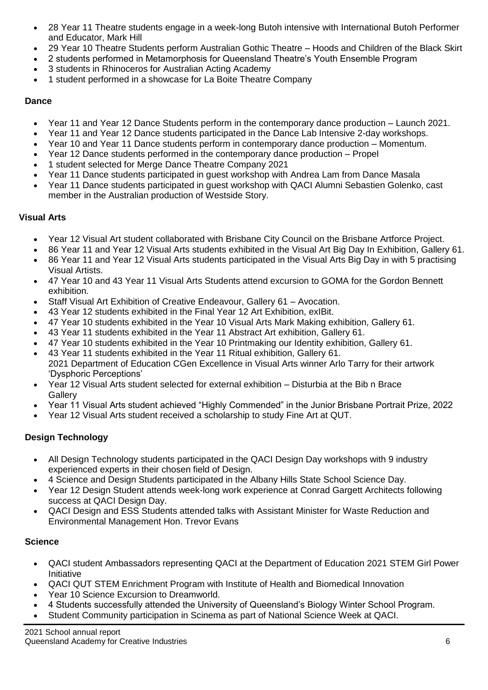- 28 Year 11 Theatre students engage in a week-long Butoh intensive with International Butoh Performer and Educator, Mark Hill
- 29 Year 10 Theatre Students perform Australian Gothic Theatre Hoods and Children of the Black Skirt
- 2 students performed in Metamorphosis for Queensland Theatre's Youth Ensemble Program
- 3 students in Rhinoceros for Australian Acting Academy
- 1 student performed in a showcase for La Boite Theatre Company

#### **Dance**

- Year 11 and Year 12 Dance Students perform in the contemporary dance production Launch 2021.
- Year 11 and Year 12 Dance students participated in the Dance Lab Intensive 2-day workshops.
- Year 10 and Year 11 Dance students perform in contemporary dance production Momentum.
- Year 12 Dance students performed in the contemporary dance production Propel
- 1 student selected for Merge Dance Theatre Company 2021
- Year 11 Dance students participated in guest workshop with Andrea Lam from Dance Masala
- Year 11 Dance students participated in guest workshop with QACI Alumni Sebastien Golenko, cast member in the Australian production of Westside Story.

### **Visual Arts**

- Year 12 Visual Art student collaborated with Brisbane City Council on the Brisbane Artforce Project.
- 86 Year 11 and Year 12 Visual Arts students exhibited in the Visual Art Big Day In Exhibition, Gallery 61.
- 86 Year 11 and Year 12 Visual Arts students participated in the Visual Arts Big Day in with 5 practising Visual Artists.
- 47 Year 10 and 43 Year 11 Visual Arts Students attend excursion to GOMA for the Gordon Bennett exhibition.
- Staff Visual Art Exhibition of Creative Endeavour, Gallery 61 Avocation.
- 43 Year 12 students exhibited in the Final Year 12 Art Exhibition, exIBit.
- 47 Year 10 students exhibited in the Year 10 Visual Arts Mark Making exhibition, Gallery 61.
- 43 Year 11 students exhibited in the Year 11 Abstract Art exhibition, Gallery 61.
- 47 Year 10 students exhibited in the Year 10 Printmaking our Identity exhibition, Gallery 61.
- 43 Year 11 students exhibited in the Year 11 Ritual exhibition, Gallery 61. 2021 Department of Education CGen Excellence in Visual Arts winner Arlo Tarry for their artwork 'Dysphoric Perceptions'
- Year 12 Visual Arts student selected for external exhibition Disturbia at the Bib n Brace **Gallery**
- Year 11 Visual Arts student achieved "Highly Commended" in the Junior Brisbane Portrait Prize, 2022
- Year 12 Visual Arts student received a scholarship to study Fine Art at QUT.

## **Design Technology**

- All Design Technology students participated in the QACI Design Day workshops with 9 industry experienced experts in their chosen field of Design.
- 4 Science and Design Students participated in the Albany Hills State School Science Day.
- Year 12 Design Student attends week-long work experience at Conrad Gargett Architects following success at QACI Design Day.
- QACI Design and ESS Students attended talks with Assistant Minister for Waste Reduction and Environmental Management Hon. Trevor Evans

## **Science**

- QACI student Ambassadors representing QACI at the Department of Education 2021 STEM Girl Power Initiative
- QACI QUT STEM Enrichment Program with Institute of Health and Biomedical Innovation
- Year 10 Science Excursion to Dreamworld.
- 4 Students successfully attended the University of Queensland's Biology Winter School Program.
- Student Community participation in Scinema as part of National Science Week at QACI.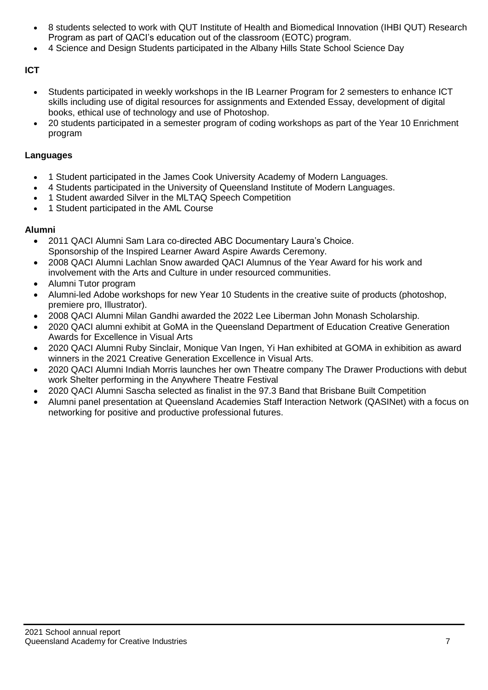- 8 students selected to work with QUT Institute of Health and Biomedical Innovation (IHBI QUT) Research Program as part of QACI's education out of the classroom (EOTC) program.
- 4 Science and Design Students participated in the Albany Hills State School Science Day

#### **ICT**

- Students participated in weekly workshops in the IB Learner Program for 2 semesters to enhance ICT skills including use of digital resources for assignments and Extended Essay, development of digital books, ethical use of technology and use of Photoshop.
- 20 students participated in a semester program of coding workshops as part of the Year 10 Enrichment program

#### **Languages**

- 1 Student participated in the James Cook University Academy of Modern Languages.
- 4 Students participated in the University of Queensland Institute of Modern Languages.
- 1 Student awarded Silver in the MLTAQ Speech Competition
- 1 Student participated in the AML Course

#### **Alumni**

- 2011 QACI Alumni Sam Lara co-directed ABC Documentary Laura's Choice. Sponsorship of the Inspired Learner Award Aspire Awards Ceremony.
- 2008 QACI Alumni Lachlan Snow awarded QACI Alumnus of the Year Award for his work and involvement with the Arts and Culture in under resourced communities.
- Alumni Tutor program
- Alumni-led Adobe workshops for new Year 10 Students in the creative suite of products (photoshop, premiere pro, Illustrator).
- 2008 QACI Alumni Milan Gandhi awarded the 2022 Lee Liberman John Monash Scholarship.
- 2020 QACI alumni exhibit at GoMA in the Queensland Department of Education Creative Generation Awards for Excellence in Visual Arts
- 2020 QACI Alumni Ruby Sinclair, Monique Van Ingen, Yi Han exhibited at GOMA in exhibition as award winners in the 2021 Creative Generation Excellence in Visual Arts.
- 2020 QACI Alumni Indiah Morris launches her own Theatre company The Drawer Productions with debut work Shelter performing in the Anywhere Theatre Festival
- 2020 QACI Alumni Sascha selected as finalist in the 97.3 Band that Brisbane Built Competition
- Alumni panel presentation at Queensland Academies Staff Interaction Network (QASINet) with a focus on networking for positive and productive professional futures.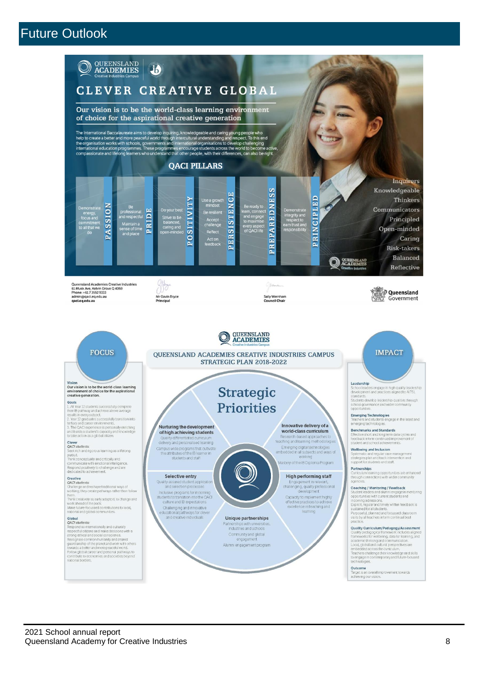## Future Outlook

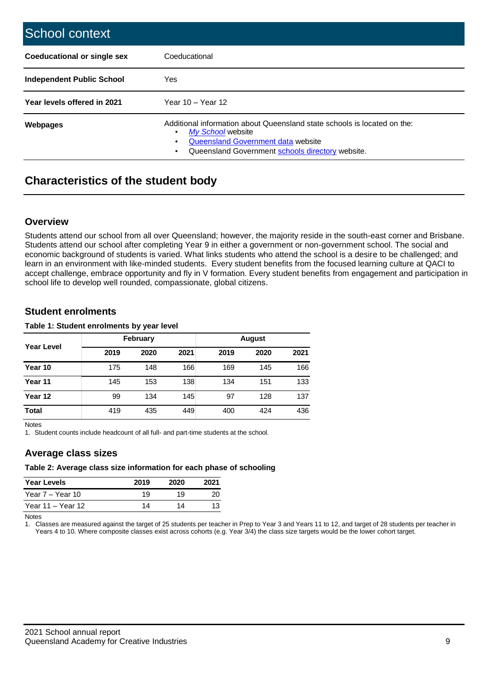| School context                   |                                                                                                                                                                                                |
|----------------------------------|------------------------------------------------------------------------------------------------------------------------------------------------------------------------------------------------|
| Coeducational or single sex      | Coeducational                                                                                                                                                                                  |
| <b>Independent Public School</b> | Yes                                                                                                                                                                                            |
| Year levels offered in 2021      | Year $10 -$ Year 12                                                                                                                                                                            |
| Webpages                         | Additional information about Queensland state schools is located on the:<br>My School website<br><b>Queensland Government data website</b><br>Queensland Government schools directory website. |

## **Characteristics of the student body**

#### **Overview**

Students attend our school from all over Queensland; however, the majority reside in the south-east corner and Brisbane. Students attend our school after completing Year 9 in either a government or non-government school. The social and economic background of students is varied. What links students who attend the school is a desire to be challenged; and learn in an environment with like-minded students. Every student benefits from the focused learning culture at QACI to accept challenge, embrace opportunity and fly in V formation. Every student benefits from engagement and participation in school life to develop well rounded, compassionate, global citizens.

#### **Student enrolments**

#### **Table 1: Student enrolments by year level**

|                   |      | February |      |      |      |      |
|-------------------|------|----------|------|------|------|------|
| <b>Year Level</b> | 2019 | 2020     | 2021 | 2019 | 2020 | 2021 |
| Year 10           | 175  | 148      | 166  | 169  | 145  | 166  |
| Year 11           | 145  | 153      | 138  | 134  | 151  | 133  |
| Year 12           | 99   | 134      | 145  | 97   | 128  | 137  |
| <b>Total</b>      | 419  | 435      | 449  | 400  | 424  | 436  |

Notes

1. Student counts include headcount of all full- and part-time students at the school.

#### **Average class sizes**

#### **Table 2: Average class size information for each phase of schooling**

| <b>Year Levels</b> | 2019 | 2020 | 2021 |
|--------------------|------|------|------|
| Year 7 – Year 10   | 19   | 19   | 20   |
| Year 11 – Year 12  | 14   | 14   | 13   |

**Notes** 

1. Classes are measured against the target of 25 students per teacher in Prep to Year 3 and Years 11 to 12, and target of 28 students per teacher in Years 4 to 10. Where composite classes exist across cohorts (e.g. Year 3/4) the class size targets would be the lower cohort target.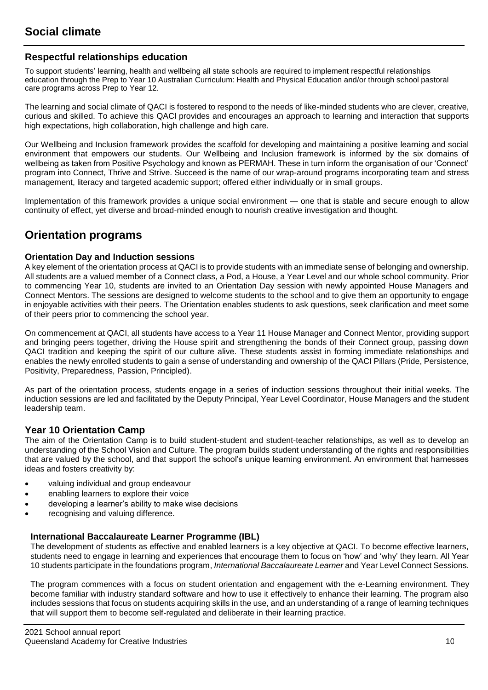#### **Respectful relationships education**

To support students' learning, health and wellbeing all state schools are required to implement respectful relationships education through the Prep to Year 10 Australian Curriculum: Health and Physical Education and/or through school pastoral care programs across Prep to Year 12.

The learning and social climate of QACI is fostered to respond to the needs of like-minded students who are clever, creative, curious and skilled. To achieve this QACl provides and encourages an approach to learning and interaction that supports high expectations, high collaboration, high challenge and high care.

Our Wellbeing and Inclusion framework provides the scaffold for developing and maintaining a positive learning and social environment that empowers our students. Our Wellbeing and Inclusion framework is informed by the six domains of wellbeing as taken from Positive Psychology and known as PERMAH. These in turn inform the organisation of our 'Connect' program into Connect, Thrive and Strive. Succeed is the name of our wrap-around programs incorporating team and stress management, literacy and targeted academic support; offered either individually or in small groups.

Implementation of this framework provides a unique social environment — one that is stable and secure enough to allow continuity of effect, yet diverse and broad-minded enough to nourish creative investigation and thought.

## **Orientation programs**

#### **Orientation Day and Induction sessions**

A key element of the orientation process at QACI is to provide students with an immediate sense of belonging and ownership. All students are a valued member of a Connect class, a Pod, a House, a Year Level and our whole school community. Prior to commencing Year 10, students are invited to an Orientation Day session with newly appointed House Managers and Connect Mentors. The sessions are designed to welcome students to the school and to give them an opportunity to engage in enjoyable activities with their peers. The Orientation enables students to ask questions, seek clarification and meet some of their peers prior to commencing the school year.

On commencement at QACI, all students have access to a Year 11 House Manager and Connect Mentor, providing support and bringing peers together, driving the House spirit and strengthening the bonds of their Connect group, passing down QACI tradition and keeping the spirit of our culture alive. These students assist in forming immediate relationships and enables the newly enrolled students to gain a sense of understanding and ownership of the QACI Pillars (Pride, Persistence, Positivity, Preparedness, Passion, Principled).

As part of the orientation process, students engage in a series of induction sessions throughout their initial weeks. The induction sessions are led and facilitated by the Deputy Principal, Year Level Coordinator, House Managers and the student leadership team.

#### **Year 10 Orientation Camp**

The aim of the Orientation Camp is to build student-student and student-teacher relationships, as well as to develop an understanding of the School Vision and Culture. The program builds student understanding of the rights and responsibilities that are valued by the school, and that support the school's unique learning environment. An environment that harnesses ideas and fosters creativity by:

- valuing individual and group endeavour
- enabling learners to explore their voice
- developing a learner's ability to make wise decisions
- recognising and valuing difference.

#### **International Baccalaureate Learner Programme (IBL)**

The development of students as effective and enabled learners is a key objective at QACI. To become effective learners, students need to engage in learning and experiences that encourage them to focus on 'how' and 'why' they learn. All Year 10 students participate in the foundations program, *International Baccalaureate Learner* and Year Level Connect Sessions.

The program commences with a focus on student orientation and engagement with the e-Learning environment. They become familiar with industry standard software and how to use it effectively to enhance their learning. The program also includes sessions that focus on students acquiring skills in the use, and an understanding of a range of learning techniques that will support them to become self-regulated and deliberate in their learning practice.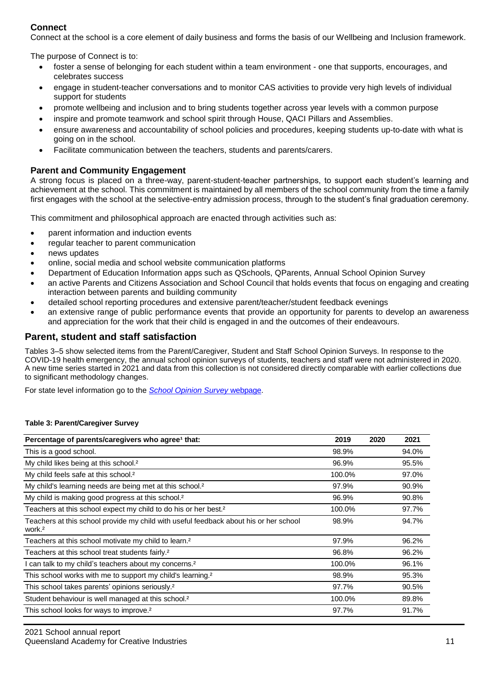### **Connect**

Connect at the school is a core element of daily business and forms the basis of our Wellbeing and Inclusion framework.

The purpose of Connect is to:

- foster a sense of belonging for each student within a team environment one that supports, encourages, and celebrates success
- engage in student-teacher conversations and to monitor CAS activities to provide very high levels of individual support for students
- promote wellbeing and inclusion and to bring students together across year levels with a common purpose
- inspire and promote teamwork and school spirit through House, QACI Pillars and Assemblies.
- ensure awareness and accountability of school policies and procedures, keeping students up-to-date with what is going on in the school.
- Facilitate communication between the teachers, students and parents/carers.

#### **Parent and Community Engagement**

A strong focus is placed on a three-way, parent-student-teacher partnerships, to support each student's learning and achievement at the school. This commitment is maintained by all members of the school community from the time a family first engages with the school at the selective-entry admission process, through to the student's final graduation ceremony.

This commitment and philosophical approach are enacted through activities such as:

- parent information and induction events
- regular teacher to parent communication
- news updates
- online, social media and school website communication platforms
- Department of Education Information apps such as QSchools, QParents, Annual School Opinion Survey
- an active Parents and Citizens Association and School Council that holds events that focus on engaging and creating interaction between parents and building community
- detailed school reporting procedures and extensive parent/teacher/student feedback evenings
- an extensive range of public performance events that provide an opportunity for parents to develop an awareness and appreciation for the work that their child is engaged in and the outcomes of their endeavours.

#### **Parent, student and staff satisfaction**

Tables 3–5 show selected items from the Parent/Caregiver, Student and Staff School Opinion Surveys. In response to the COVID-19 health emergency, the annual school opinion surveys of students, teachers and staff were not administered in 2020. A new time series started in 2021 and data from this collection is not considered directly comparable with earlier collections due to significant methodology changes.

For state level information go to the *[School Opinion Survey](https://qed.qld.gov.au/publications/reports/statistics/schooling/schools/schoolopinionsurvey)* [webpage.](https://qed.qld.gov.au/publications/reports/statistics/schooling/schools/schoolopinionsurvey)

#### **Table 3: Parent/Caregiver Survey**

| Percentage of parents/caregivers who agree <sup>1</sup> that:                                               | 2019   | 2020 | 2021  |
|-------------------------------------------------------------------------------------------------------------|--------|------|-------|
| This is a good school.                                                                                      | 98.9%  |      | 94.0% |
| My child likes being at this school. <sup>2</sup>                                                           | 96.9%  |      | 95.5% |
| My child feels safe at this school. <sup>2</sup>                                                            | 100.0% |      | 97.0% |
| My child's learning needs are being met at this school. <sup>2</sup>                                        | 97.9%  |      | 90.9% |
| My child is making good progress at this school. <sup>2</sup>                                               | 96.9%  |      | 90.8% |
| Teachers at this school expect my child to do his or her best. <sup>2</sup>                                 | 100.0% |      | 97.7% |
| Teachers at this school provide my child with useful feedback about his or her school<br>work. <sup>2</sup> | 98.9%  |      | 94.7% |
| Teachers at this school motivate my child to learn. <sup>2</sup>                                            | 97.9%  |      | 96.2% |
| Teachers at this school treat students fairly. <sup>2</sup>                                                 | 96.8%  |      | 96.2% |
| I can talk to my child's teachers about my concerns. <sup>2</sup>                                           | 100.0% |      | 96.1% |
| This school works with me to support my child's learning. <sup>2</sup>                                      | 98.9%  |      | 95.3% |
| This school takes parents' opinions seriously. <sup>2</sup>                                                 | 97.7%  |      | 90.5% |
| Student behaviour is well managed at this school. <sup>2</sup>                                              | 100.0% |      | 89.8% |
| This school looks for ways to improve. <sup>2</sup>                                                         | 97.7%  |      | 91.7% |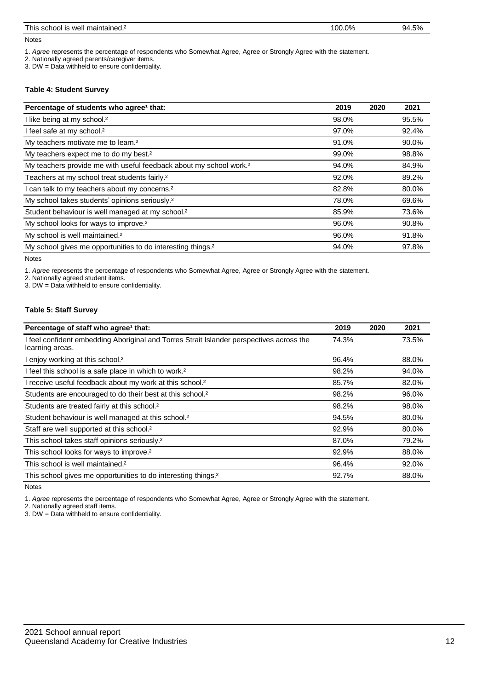| $-1$<br>$\sim$<br>l his<br>maintaineo.<br>well<br>school :<br>_ _ _ _ _ | 0%<br>00<br>- - - - - - | .5%<br>94<br>$\overline{\phantom{a}}$<br>$\sim$ $\sim$ |
|-------------------------------------------------------------------------|-------------------------|--------------------------------------------------------|
|                                                                         |                         |                                                        |

Notes

1. *Agree* represents the percentage of respondents who Somewhat Agree, Agree or Strongly Agree with the statement.

2. Nationally agreed parents/caregiver items.

3. DW = Data withheld to ensure confidentiality.

#### **Table 4: Student Survey**

| Percentage of students who agree <sup>1</sup> that:                            | 2019  | 2020 | 2021  |
|--------------------------------------------------------------------------------|-------|------|-------|
| I like being at my school. <sup>2</sup>                                        | 98.0% |      | 95.5% |
| I feel safe at my school. <sup>2</sup>                                         | 97.0% |      | 92.4% |
| My teachers motivate me to learn. <sup>2</sup>                                 | 91.0% |      | 90.0% |
| My teachers expect me to do my best. <sup>2</sup>                              | 99.0% |      | 98.8% |
| My teachers provide me with useful feedback about my school work. <sup>2</sup> | 94.0% |      | 84.9% |
| Teachers at my school treat students fairly. <sup>2</sup>                      | 92.0% |      | 89.2% |
| I can talk to my teachers about my concerns. <sup>2</sup>                      | 82.8% |      | 80.0% |
| My school takes students' opinions seriously. <sup>2</sup>                     | 78.0% |      | 69.6% |
| Student behaviour is well managed at my school. <sup>2</sup>                   | 85.9% |      | 73.6% |
| My school looks for ways to improve. <sup>2</sup>                              | 96.0% |      | 90.8% |
| My school is well maintained. <sup>2</sup>                                     | 96.0% |      | 91.8% |
| My school gives me opportunities to do interesting things. <sup>2</sup>        | 94.0% |      | 97.8% |

Notes

1. *Agree* represents the percentage of respondents who Somewhat Agree, Agree or Strongly Agree with the statement.

2. Nationally agreed student items.

3. DW = Data withheld to ensure confidentiality.

#### **Table 5: Staff Survey**

| Percentage of staff who agree <sup>1</sup> that:                                                            | 2019  | 2020 | 2021  |
|-------------------------------------------------------------------------------------------------------------|-------|------|-------|
| I feel confident embedding Aboriginal and Torres Strait Islander perspectives across the<br>learning areas. | 74.3% |      | 73.5% |
| enjoy working at this school. <sup>2</sup>                                                                  | 96.4% |      | 88.0% |
| I feel this school is a safe place in which to work. <sup>2</sup>                                           | 98.2% |      | 94.0% |
| I receive useful feedback about my work at this school. <sup>2</sup>                                        | 85.7% |      | 82.0% |
| Students are encouraged to do their best at this school. <sup>2</sup>                                       | 98.2% |      | 96.0% |
| Students are treated fairly at this school. <sup>2</sup>                                                    | 98.2% |      | 98.0% |
| Student behaviour is well managed at this school. <sup>2</sup>                                              | 94.5% |      | 80.0% |
| Staff are well supported at this school. <sup>2</sup>                                                       | 92.9% |      | 80.0% |
| This school takes staff opinions seriously. <sup>2</sup>                                                    | 87.0% |      | 79.2% |
| This school looks for ways to improve. <sup>2</sup>                                                         | 92.9% |      | 88.0% |
| This school is well maintained. <sup>2</sup>                                                                | 96.4% |      | 92.0% |
| This school gives me opportunities to do interesting things. <sup>2</sup>                                   | 92.7% |      | 88.0% |

Notes

1. *Agree* represents the percentage of respondents who Somewhat Agree, Agree or Strongly Agree with the statement.

2. Nationally agreed staff items.

3. DW = Data withheld to ensure confidentiality.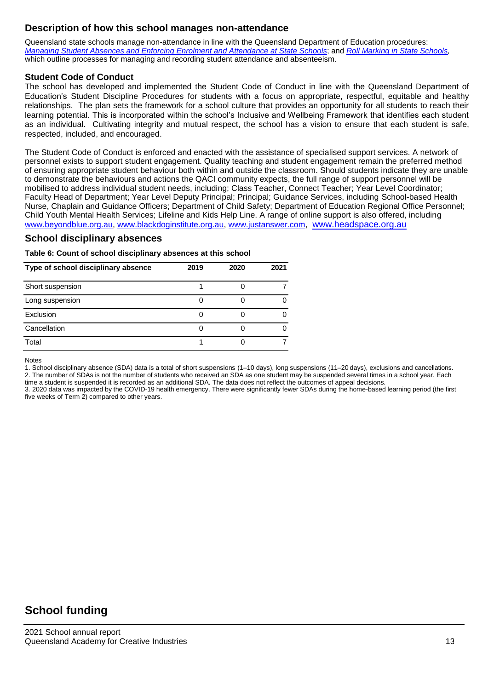## **Description of how this school manages non-attendance**

Queensland state schools manage non-attendance in line with the Queensland Department of Education procedures: Managing Student Absences and Enforcing Enrolment and [Attendance](https://ppr.qed.qld.gov.au/pp/managing-student-absences-and-enforcing-enrolment-and-attendance-at-state-schools-procedure) at State [Schools,](https://ppr.qed.qld.gov.au/pp/roll-marking-in-state-schools-procedure) and Roll Marking in State Schools, which outline processes for managing and recording student attendance and absenteeism.

#### **Student Code of Conduct**

The school has developed and implemented the Student Code of Conduct in line with the Queensland Department of Education's Student Discipline Procedures for students with a focus on appropriate, respectful, equitable and healthy relationships. The plan sets the framework for a school culture that provides an opportunity for all students to reach their learning potential. This is incorporated within the school's Inclusive and Wellbeing Framework that identifies each student as an individual. Cultivating integrity and mutual respect, the school has a vision to ensure that each student is safe, respected, included, and encouraged.

The Student Code of Conduct is enforced and enacted with the assistance of specialised support services. A network of personnel exists to support student engagement. Quality teaching and student engagement remain the preferred method of ensuring appropriate student behaviour both within and outside the classroom. Should students indicate they are unable to demonstrate the behaviours and actions the QACI community expects, the full range of support personnel will be mobilised to address individual student needs, including; Class Teacher, Connect Teacher; Year Level Coordinator; Faculty Head of Department; Year Level Deputy Principal; Principal; Guidance Services, including School-based Health Nurse, Chaplain and Guidance Officers; Department of Child Safety; Department of Education Regional Office Personnel; Child Youth Mental Health Services; Lifeline and Kids Help Line. A range of online support is also offered, including [www.beyondblue.org.au,](http://www.beyondblue.org.au/) [www.blackdoginstitute.org.au,](http://www.blackdoginstitute.org.au/) [www.justanswer.com,](http://www.justanswer.com/) [www.headspace.org.au](http://www.headspace.org.au/)

#### **School disciplinary absences**

**Table 6: Count of school disciplinary absences at this school**

| Type of school disciplinary absence | 2019 | 2020 | 2021 |
|-------------------------------------|------|------|------|
| Short suspension                    |      |      |      |
| Long suspension                     |      |      |      |
| Exclusion                           |      |      |      |
| Cancellation                        |      |      |      |
| Total                               |      |      |      |

Notes

1. School disciplinary absence (SDA) data is a total of short suspensions (1–10 days), long suspensions (11–20 days), exclusions and cancellations. 2. The number of SDAs is not the number of students who received an SDA as one student may be suspended several times in a school year. Each

time a student is suspended it is recorded as an additional SDA. The data does not reflect the outcomes of appeal decisions.

3. 2020 data was impacted by the COVID-19 health emergency. There were significantly fewer SDAs during the home-based learning period (the first five weeks of Term 2) compared to other years.

## **School funding**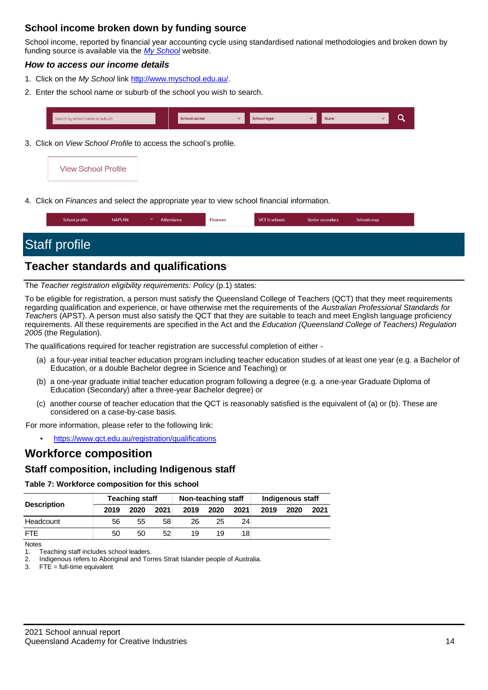## **School income broken down by funding source**

School income, reported by financial year accounting cycle using standardised national methodologies and broken down by funding source is available via the *[My School](http://www.myschool.edu.au/)* website.

#### *How to access our income details*

- 1. Click on the *My School* link [http://www.myschool.edu.au/.](http://www.myschool.edu.au/)
- 2. Enter the school name or suburb of the school you wish to search.



3. Click on *View School Profile* to access the school's profile.



4. Click on *Finances* and select the appropriate year to view school financial information.

| School profile | <b>NAPLAN</b> | Attendance | $F$ inances | VET in schools | Senior secondary | Schools map |  |
|----------------|---------------|------------|-------------|----------------|------------------|-------------|--|
|                |               |            |             |                |                  |             |  |

## Staff profile

## **Teacher standards and qualifications**

The *Teacher registration eligibility requirements: Policy* (p.1) states:

To be eligible for registration, a person must satisfy the Queensland College of Teachers (QCT) that they meet requirements regarding qualification and experience, or have otherwise met the requirements of the *Australian Professional Standards for Teachers* (APST). A person must also satisfy the QCT that they are suitable to teach and meet English language proficiency requirements. All these requirements are specified in the Act and the *Education (Queensland College of Teachers) Regulation 2005* (the Regulation).

The qualifications required for teacher registration are successful completion of either -

- (a) a four-year initial teacher education program including teacher education studies of at least one year (e.g. a Bachelor of Education, or a double Bachelor degree in Science and Teaching) or
- (b) a one-year graduate initial teacher education program following a degree (e.g. a one-year Graduate Diploma of Education (Secondary) after a three-year Bachelor degree) or
- (c) another course of teacher education that the QCT is reasonably satisfied is the equivalent of (a) or (b). These are considered on a case-by-case basis.

For more information, please refer to the following link:

• <https://www.qct.edu.au/registration/qualifications>

## **Workforce composition**

#### **Staff composition, including Indigenous staff**

**Table 7: Workforce composition for this school**

| <b>Description</b> | <b>Teaching staff</b> |      |      | Non-teaching staff |      |      | <b>Indigenous staff</b> |      |      |
|--------------------|-----------------------|------|------|--------------------|------|------|-------------------------|------|------|
|                    | 2019                  | 2020 | 2021 | 2019               | 2020 | 2021 | 2019                    | 2020 | 2021 |
| Headcount          | 56                    | 55   | 58   | 26                 | 25   | 24   |                         |      |      |
| <b>FTF</b>         | 50                    | 50   | 52   | 19                 | 19   | 18   |                         |      |      |

Notes

1. Teaching staff includes school leaders.<br>2. Indigenous refers to Aboriginal and Tor

Indigenous refers to Aboriginal and Torres Strait Islander people of Australia.

3. FTE = full-time equivalent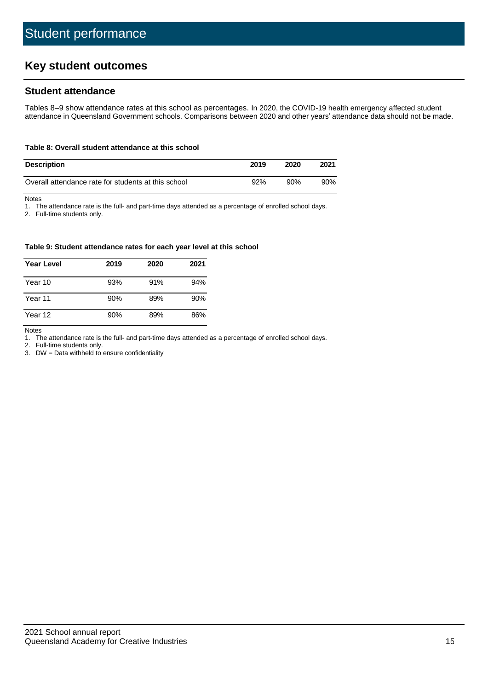## **Key student outcomes**

#### **Student attendance**

Tables 8–9 show attendance rates at this school as percentages. In 2020, the COVID-19 health emergency affected student attendance in Queensland Government schools. Comparisons between 2020 and other years' attendance data should not be made.

#### **Table 8: Overall student attendance at this school**

| <b>Description</b>                                  | 2019 | 2020 | 2021   |
|-----------------------------------------------------|------|------|--------|
| Overall attendance rate for students at this school | 92%  | 90%  | $90\%$ |

Notes<br>1. Th The attendance rate is the full- and part-time days attended as a percentage of enrolled school days.

2. Full-time students only.

#### **Table 9: Student attendance rates for each year level at this school**

| <b>Year Level</b> | 2019 | 2020 | 2021 |
|-------------------|------|------|------|
| Year 10           | 93%  | 91%  | 94%  |
| Year 11           | 90%  | 89%  | 90%  |
| Year 12           | 90%  | 89%  | 86%  |

Notes

1. The attendance rate is the full- and part-time days attended as a percentage of enrolled school days.<br>2. Full-time students only.

Full-time students only.

3. DW = Data withheld to ensure confidentiality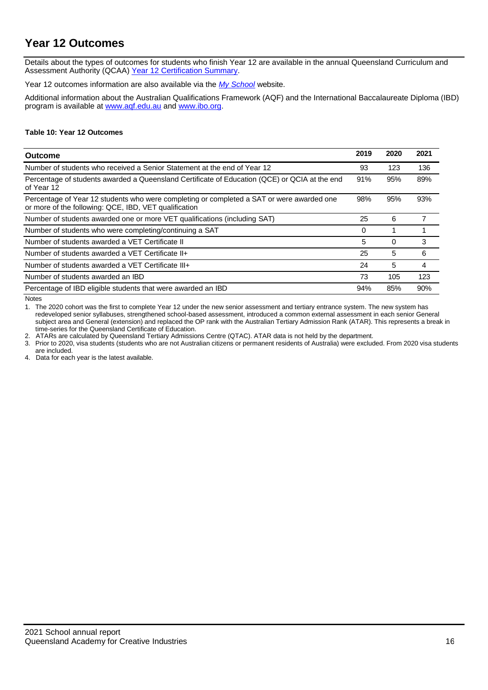## **Year 12 Outcomes**

Details about the types of outcomes for students who finish Year 12 are available in the annual Queensland Curriculum and Assessment Authority (QCAA[\) Year 12 Certification Summary.](https://www.qcaa.qld.edu.au/about/publications/statistics)

Year 12 outcomes information are also available via the *[My School](http://www.myschool.edu.au/)* website.

Additional information about the Australian Qualifications Framework (AQF) and the International Baccalaureate Diploma (IBD) program is available at [www.aqf.edu.au](https://www.aqf.edu.au/) and [www.ibo.org.](https://www.ibo.org/)

#### **Table 10: Year 12 Outcomes**

| Outcome                                                                                                                                            | 2019 | 2020     | 2021 |
|----------------------------------------------------------------------------------------------------------------------------------------------------|------|----------|------|
| Number of students who received a Senior Statement at the end of Year 12                                                                           | 93   | 123      | 136  |
| Percentage of students awarded a Queensland Certificate of Education (QCE) or QCIA at the end<br>of Year 12                                        | 91%  | 95%      | 89%  |
| Percentage of Year 12 students who were completing or completed a SAT or were awarded one<br>or more of the following: QCE, IBD, VET qualification | 98%  | 95%      | 93%  |
| Number of students awarded one or more VET qualifications (including SAT)                                                                          | 25   | 6        |      |
| Number of students who were completing/continuing a SAT                                                                                            | 0    |          |      |
| Number of students awarded a VET Certificate II                                                                                                    | 5    | $\Omega$ | 3    |
| Number of students awarded a VET Certificate II+                                                                                                   | 25   | 5        | 6    |
| Number of students awarded a VET Certificate III+                                                                                                  | 24   | 5        | 4    |
| Number of students awarded an IBD                                                                                                                  | 73   | 105      | 123  |
| Percentage of IBD eligible students that were awarded an IBD                                                                                       | 94%  | 85%      | 90%  |

Notes

1. The 2020 cohort was the first to complete Year 12 under the new senior assessment and tertiary entrance system. The new system has redeveloped senior syllabuses, strengthened school-based assessment, introduced a common external assessment in each senior General subject area and General (extension) and replaced the OP rank with the Australian Tertiary Admission Rank (ATAR). This represents a break in time-series for the Queensland Certificate of Education.

2. ATARs are calculated by Queensland Tertiary Admissions Centre (QTAC). ATAR data is not held by the department.

3. Prior to 2020, visa students (students who are not Australian citizens or permanent residents of Australia) were excluded. From 2020 visa students are included.

4. Data for each year is the latest available.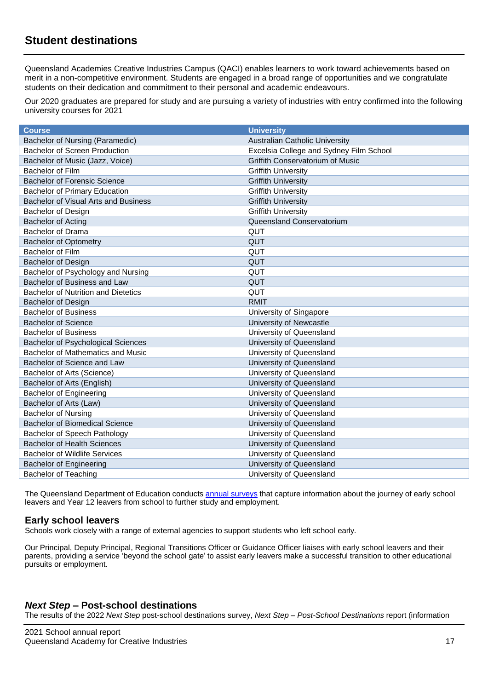## **Student destinations**

Queensland Academies Creative Industries Campus (QACI) enables learners to work toward achievements based on merit in a non-competitive environment. Students are engaged in a broad range of opportunities and we congratulate students on their dedication and commitment to their personal and academic endeavours.

Our 2020 graduates are prepared for study and are pursuing a variety of industries with entry confirmed into the following university courses for 2021

| <b>Course</b>                              | <b>University</b>                       |
|--------------------------------------------|-----------------------------------------|
| Bachelor of Nursing (Paramedic)            | <b>Australian Catholic University</b>   |
| <b>Bachelor of Screen Production</b>       | Excelsia College and Sydney Film School |
| Bachelor of Music (Jazz, Voice)            | Griffith Conservatorium of Music        |
| Bachelor of Film                           | <b>Griffith University</b>              |
| <b>Bachelor of Forensic Science</b>        | <b>Griffith University</b>              |
| <b>Bachelor of Primary Education</b>       | <b>Griffith University</b>              |
| Bachelor of Visual Arts and Business       | <b>Griffith University</b>              |
| <b>Bachelor of Design</b>                  | <b>Griffith University</b>              |
| <b>Bachelor of Acting</b>                  | Queensland Conservatorium               |
| <b>Bachelor of Drama</b>                   | QUT                                     |
| <b>Bachelor of Optometry</b>               | QUT                                     |
| Bachelor of Film                           | QUT                                     |
| <b>Bachelor of Design</b>                  | QUT                                     |
| Bachelor of Psychology and Nursing         | QUT                                     |
| Bachelor of Business and Law               | QUT                                     |
| <b>Bachelor of Nutrition and Dietetics</b> | QUT                                     |
| <b>Bachelor of Design</b>                  | <b>RMIT</b>                             |
| <b>Bachelor of Business</b>                | University of Singapore                 |
| <b>Bachelor of Science</b>                 | University of Newcastle                 |
| <b>Bachelor of Business</b>                | University of Queensland                |
| <b>Bachelor of Psychological Sciences</b>  | University of Queensland                |
| <b>Bachelor of Mathematics and Music</b>   | University of Queensland                |
| Bachelor of Science and Law                | University of Queensland                |
| Bachelor of Arts (Science)                 | University of Queensland                |
| Bachelor of Arts (English)                 | University of Queensland                |
| <b>Bachelor of Engineering</b>             | University of Queensland                |
| Bachelor of Arts (Law)                     | University of Queensland                |
| <b>Bachelor of Nursing</b>                 | University of Queensland                |
| <b>Bachelor of Biomedical Science</b>      | University of Queensland                |
| Bachelor of Speech Pathology               | University of Queensland                |
| <b>Bachelor of Health Sciences</b>         | University of Queensland                |
| <b>Bachelor of Wildlife Services</b>       | University of Queensland                |
| <b>Bachelor of Engineering</b>             | University of Queensland                |
| <b>Bachelor of Teaching</b>                | University of Queensland                |

The Queensland Department of Education conducts annual [surveys](https://qed.qld.gov.au/publications/reports/statistics/schooling/learning-outcomes/next-step) that capture information about the journey of early school leavers and Year 12 leavers from school to further study and employment.

#### **Early school leavers**

Schools work closely with a range of external agencies to support students who left school early.

Our Principal, Deputy Principal, Regional Transitions Officer or Guidance Officer liaises with early school leavers and their parents, providing a service 'beyond the school gate' to assist early leavers make a successful transition to other educational pursuits or employment.

#### *Next Step* **– Post-school destinations**

The results of the 2022 *Next Step* post-school destinations survey, *Next Step – Post-School Destinations* report (information